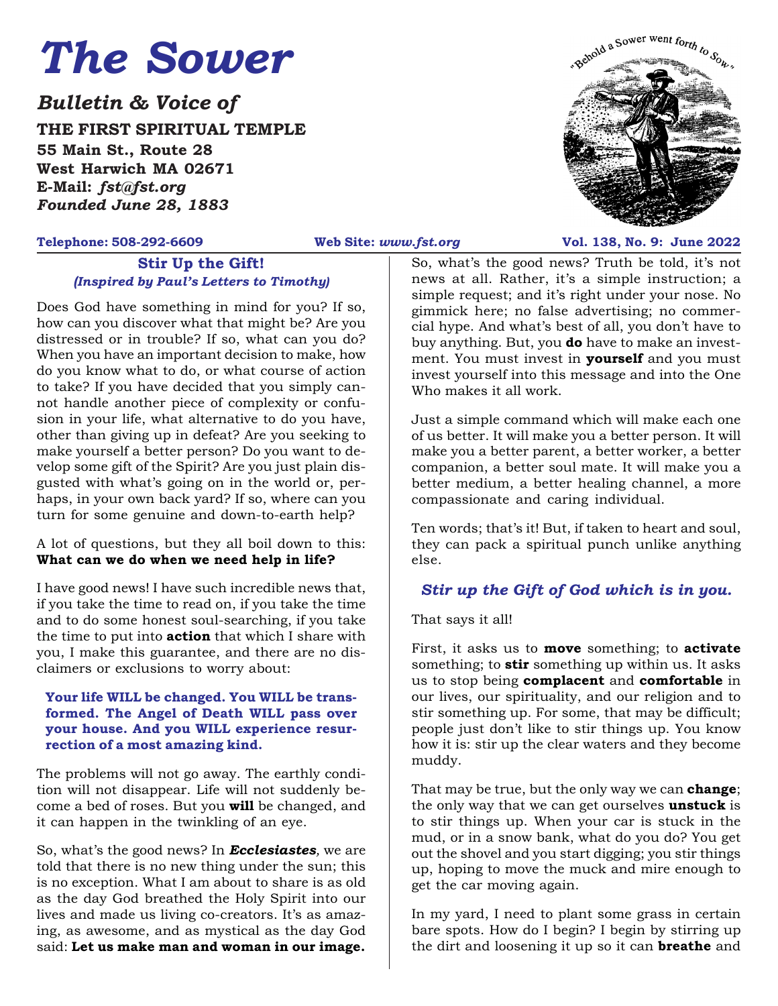# *The Sower*

*Bulletin & Voice of*

**THE FIRST SPIRITUAL TEMPLE 55 Main St., Route 28 West Harwich MA 02671 E-Mail:** *fst@fst.org Founded June 28, 1883*

### **Stir Up the Gift!** *(Inspired by Paul's Letters to Timothy)*

Does God have something in mind for you? If so, how can you discover what that might be? Are you distressed or in trouble? If so, what can you do? When you have an important decision to make, how do you know what to do, or what course of action to take? If you have decided that you simply cannot handle another piece of complexity or confusion in your life, what alternative to do you have, other than giving up in defeat? Are you seeking to make yourself a better person? Do you want to develop some gift of the Spirit? Are you just plain disgusted with what's going on in the world or, perhaps, in your own back yard? If so, where can you turn for some genuine and down-to-earth help?

#### A lot of questions, but they all boil down to this: **What can we do when we need help in life?**

I have good news! I have such incredible news that, if you take the time to read on, if you take the time and to do some honest soul-searching, if you take the time to put into **action** that which I share with you, I make this guarantee, and there are no disclaimers or exclusions to worry about:

#### **Your life WILL be changed. You WILL be transformed. The Angel of Death WILL pass over your house. And you WILL experience resurrection of a most amazing kind.**

The problems will not go away. The earthly condition will not disappear. Life will not suddenly become a bed of roses. But you **will** be changed, and it can happen in the twinkling of an eye.

So, what's the good news? In *Ecclesiastes,* we are told that there is no new thing under the sun; this is no exception. What I am about to share is as old as the day God breathed the Holy Spirit into our lives and made us living co-creators. It's as amazing, as awesome, and as mystical as the day God said: **Let us make man and woman in our image.**



#### **Telephone: 508-292-6609 Web Site:** *www.fst.org* **Vol. 138, No. 9: June 2022**

So, what's the good news? Truth be told, it's not news at all. Rather, it's a simple instruction; a simple request; and it's right under your nose. No gimmick here; no false advertising; no commercial hype. And what's best of all, you don't have to buy anything. But, you **do** have to make an investment. You must invest in **yourself** and you must invest yourself into this message and into the One Who makes it all work.

Just a simple command which will make each one of us better. It will make you a better person. It will make you a better parent, a better worker, a better companion, a better soul mate. It will make you a better medium, a better healing channel, a more compassionate and caring individual.

Ten words; that's it! But, if taken to heart and soul, they can pack a spiritual punch unlike anything else.

# *Stir up the Gift of God which is in you.*

That says it all!

First, it asks us to **move** something; to **activate** something; to **stir** something up within us. It asks us to stop being **complacent** and **comfortable** in our lives, our spirituality, and our religion and to stir something up. For some, that may be difficult; people just don't like to stir things up. You know how it is: stir up the clear waters and they become muddy.

That may be true, but the only way we can **change**; the only way that we can get ourselves **unstuck** is to stir things up. When your car is stuck in the mud, or in a snow bank, what do you do? You get out the shovel and you start digging; you stir things up, hoping to move the muck and mire enough to get the car moving again.

In my yard, I need to plant some grass in certain bare spots. How do I begin? I begin by stirring up the dirt and loosening it up so it can **breathe** and